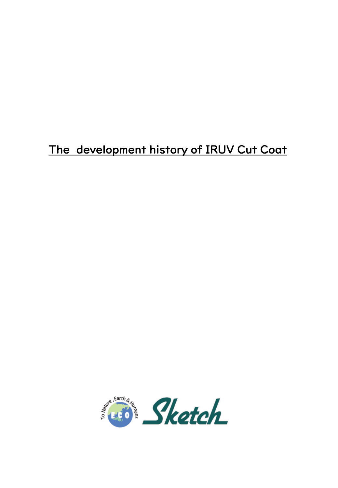# The development history of IRUV Cut Coat

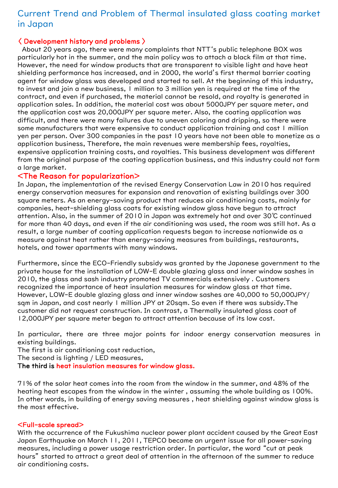## Current Trend and Problem of Thermal insulated glass coating market in Japan

## 〈 Development history and problems 〉

About 20 years ago, there were many complaints that NTT's public telephone BOX was particularly hot in the summer, and the main policy was to attach a black film at that time. However, the need for window products that are transparent to visible light and have heat shielding performance has increased, and in 2000, the world's first thermal barrier coating agent for window glass was developed and started to sell. At the beginning of this industry, to invest and join a new business, 1 million to 3 million yen is required at the time of the contract, and even if purchased, the material cannot be resold, and royalty is generated in application sales. In addition, the material cost was about 5000JPY per square meter, and the application cost was 20,000JPY per square meter. Also, the coating application was difficult, and there were many failures due to uneven coloring and dripping, so there were some manufacturers that were expensive to conduct application training and cost 1 million yen per person. Over 300 companies in the past 10 years have not been able to monetize as a application business, Therefore, the main revenues were membership fees, royalties, expensive application training costs, and royalties. This business development was different from the original purpose of the coating application business, and this industry could not form a large market.

## <The Reason for popularization>

In Japan, the implementation of the revised Energy Conservation Law in 2010 has required energy conservation measures for expansion and renovation of existing buildings over 300 square meters. As an energy-saving product that reduces air conditioning costs, mainly for companies, heat-shielding glass coats for existing window glass have begun to attract attention. Also, in the summer of 2010 in Japan was extremely hot and over 30℃ continued for more than 40 days, and even if the air conditioning was used, the room was still hot. As a result, a large number of coating application requests began to increase nationwide as a measure against heat rather than energy-saving measures from buildings, restaurants, hotels, and tower apartments with many windows.

Furthermore, since the ECO-Friendly subsidy was granted by the Japanese government to the private house for the installation of LOW-E double glazing glass and inner window sashes in 2010, the glass and sash industry promoted TV commercials extensively . Customers recognized the importance of heat insulation measures for window glass at that time. However, LOW-E double glazing glass and inner window sashes are 40,000 to 50,000JPY/ sqm in Japan, and cost nearly 1 million JPY at 20sqm. So even if there was subsidy.The customer did not request construction. In contrast, a Thermally insulated glass coat of 12,000JPY per square meter began to attract attention because of its low cost.

In particular, there are three major points for indoor energy conservation measures in existing buildings.

The first is air conditioning cost reduction,

The second is lighting / LED measures,

The third is heat insulation measures for window glass.

71% of the solar heat comes into the room from the window in the summer, and 48% of the heating heat escapes from the window in the winter , assuming the whole building as 100%. In other words, in building of energy saving measures , heat shielding against window glass is the most effective.

#### <Full-scale spread>

With the occurrence of the Fukushima nuclear power plant accident caused by the Great East Japan Earthquake on March 11, 2011, TEPCO became an urgent issue for all power-saving measures, including a power usage restriction order. In particular, the word "cut at peak hours" started to attract a great deal of attention in the afternoon of the summer to reduce air conditioning costs.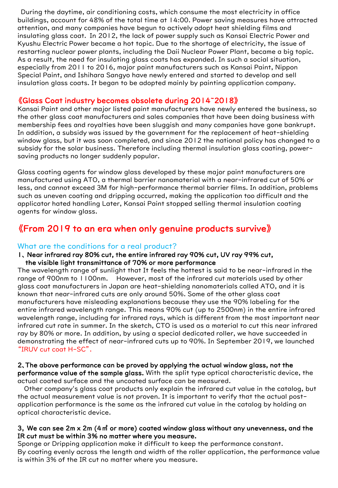During the daytime, air conditioning costs, which consume the most electricity in office buildings, account for 48% of the total time at 14:00. Power saving measures have attracted attention, and many companies have begun to actively adopt heat shielding films and insulating glass coat. In 2012, the lack of power supply such as Kansai Electric Power and Kyushu Electric Power became a hot topic. Due to the shortage of electricity, the issue of restarting nuclear power plants, including the Daii Nuclear Power Plant, became a big topic. As a result, the need for insulating glass coats has expanded. In such a social situation, especially from 2011 to 2016, major paint manufacturers such as Kansai Paint, Nippon Special Paint, and Ishihara Sangyo have newly entered and started to develop and sell insulation glass coats. It began to be adopted mainly by painting application company.

## 《Glass Coat industry becomes obsolete during 2014~2018》

Kansai Paint and other major listed paint manufacturers have newly entered the business, so the other glass coat manufacturers and sales companies that have been doing business with membership fees and royalties have been sluggish and many companies have gone bankrupt. In addition, a subsidy was issued by the government for the replacement of heat-shielding window glass, but it was soon completed, and since 2012 the national policy has changed to a subsidy for the solar business. Therefore including thermal insulation glass coating, powersaving products no longer suddenly popular.

Glass coating agents for window glass developed by these major paint manufacturers are manufactured using ATO, a thermal barrier nanomaterial with a near-infrared cut of 50% or less, and cannot exceed 3M for high-performance thermal barrier films. In addition, problems such as uneven coating and dripping occurred, making the application too difficult and the applicator hated handling Later, Kansai Paint stopped selling thermal insulation coating agents for window glass.

## 《From 2019 to an era when only genuine products survive》

## What are the conditions for a real product?

1、 Near infrared ray 80% cut, the entire infrared ray 90% cut, UV ray 99% cut, the visible light transmittance of 70% or more performance

The wavelength range of sunlight that It feels the hottest is said to be near-infrared in the range of 900nm to 1100nm. However, most of the infrared cut materials used by other glass coat manufacturers in Japan are heat-shielding nanomaterials called ATO, and it is known that near-infrared cuts are only around 50%. Some of the other glass coat manufacturers have misleading explanations because they use the 90% labeling for the entire infrared wavelength range. This means 90% cut (up to 2500nm) in the entire infrared wavelength range, including far infrared rays, which is different from the most important near infrared cut rate in summer. In the sketch, CTO is used as a material to cut this near infrared ray by 80% or more. In addition, by using a special dedicated roller, we have succeeded in demonstrating the effect of near-infrared cuts up to 90%. In September 2019, we launched "IRUV cut coat H-SC".

#### 2、The above performance can be proved by applying the actual window glass, not the performance value of the sample glass. With the split type optical characteristic device, the actual coated surface and the uncoated surface can be measured.

Other company's glass coat products only explain the infrared cut value in the catalog, but the actual measurement value is not proven. It is important to verify that the actual postapplication performance is the same as the infrared cut value in the catalog by holding an optical characteristic device.

### 3, We can see 2m x 2m (4㎡ or more) coated window glass without any unevenness, and the IR cut must be within 3% no matter where you measure.

Sponge or Dripping application make it difficult to keep the performance constant. By coating evenly across the length and width of the roller application, the performance value is within 3% of the IR cut no matter where you measure.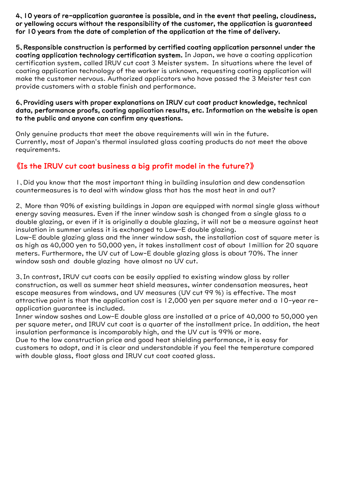4、10 years of re-application guarantee is possible, and in the event that peeling, cloudiness, or yellowing occurs without the responsibility of the customer, the application is guaranteed for 10 years from the date of completion of the application at the time of delivery.

5、Responsible construction is performed by certified coating application personnel under the coating application technology certification system. In Japan, we have a coating application certification system, called IRUV cut coat 3 Meister system. In situations where the level of coating application technology of the worker is unknown, requesting coating application will make the customer nervous. Authorized applicators who have passed the 3 Meister test can provide customers with a stable finish and performance.

## 6、Providing users with proper explanations on IRUV cut coat product knowledge, technical data, performance proofs, coating application results, etc. Information on the website is open to the public and anyone can confirm any questions.

Only genuine products that meet the above requirements will win in the future. Currently, most of Japan's thermal insulated glass coating products do not meet the above requirements.

## 《Is the IRUV cut coat business a big profit model in the future?》

1、Did you know that the most important thing in building insulation and dew condensation countermeasures is to deal with window glass that has the most heat in and out?

2、 More than 90% of existing buildings in Japan are equipped with normal single glass without energy saving measures. Even if the inner window sash is changed from a single glass to a double glazing, or even if it is originally a double glazing, it will not be a measure against heat insulation in summer unless it is exchanged to Low-E double glazing.

Low-E double glazing glass and the inner window sash, the installation cost of square meter is as high as 40,000 yen to 50,000 yen, it takes installment cost of about 1million for 20 square meters. Furthermore, the UV cut of Low-E double glazing glass is about 70%. The inner window sash and double glazing have almost no UV cut.

3、In contrast, IRUV cut coats can be easily applied to existing window glass by roller construction, as well as summer heat shield measures, winter condensation measures, heat escape measures from windows, and UV measures (UV cut 99 %) is effective. The most attractive point is that the application cost is 12,000 yen per square meter and a 10-year reapplication guarantee is included.

Inner window sashes and Low-E double glass are installed at a price of 40,000 to 50,000 yen per square meter, and IRUV cut coat is a quarter of the installment price. In addition, the heat insulation performance is incomparably high, and the UV cut is 99% or more.

Due to the low construction price and good heat shielding performance, it is easy for customers to adopt, and it is clear and understandable if you feel the temperature compared with double glass, float glass and IRUV cut coat coated glass.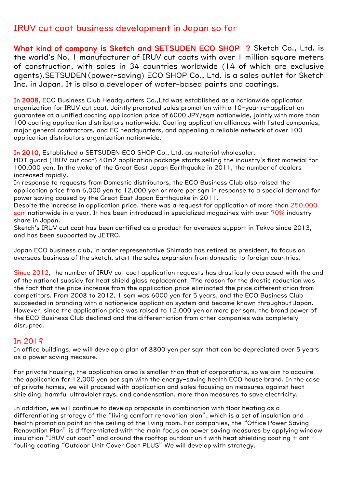## IRUV cut coat business development in Japan so far

What kind of company is Sketch and SETSUDEN ECO SHOP ? Sketch Co., Ltd. is the world's No. 1 manufacturer of IRUV cut coats with over 1 million square meters of construction, with sales in 34 countries worldwide (14 of which are exclusive agents).SETSUDEN(power-saving) ECO SHOP Co., Ltd. is a sales outlet for Sketch Inc. in Japan. It is also a developer of water-based paints and coatings.

In 2008, ECO Business Club Headquarters Co., Ltd was established as a nationwide applicator organization for IRUV cut coat. Jointly promoted sales promotion with a 10-year re-application guarantee at a unified coating application price of 6000 JPY/sqm nationwide, jointly with more than 100 coating application distributors nationwide. Coating application alliances with listed companies, major general contractors, and FC headquarters, and appealing a reliable network of over 100 application distributors organization nationwide.

In 2010, Established a SETSUDEN ECO SHOP Co., Ltd. as material wholesaler.

HOT guard (IRUV cut coat) 40m2 application package starts selling the industry's first material for 100,000 yen. In the wake of the Great East Japan Earthquake in 2011, the number of dealers increased rapidly.

In response to requests from Domestic distributors, the ECO Business Club also raised the application price from 6,000 yen to 12,000 yen or more per sqm in response to a special demand for power saving caused by the Great East Japan Earthquake in 2011.

Despite the increase in application price, there was a request for application of more than 250,000 sqm nationwide in a year. It has been introduced in specialized magazines with over 70% industry share in Japan.

Sketch's IRUV cut coat has been certified as a product for overseas support in Tokyo since 2013, and has been supported by JETRO.

Japan ECO business club, in order representative Shimada has retired as president, to focus on overseas business of the sketch, start the sales expansion from domestic to foreign countries.

Since 2012, the number of IRUV cut coat application requests has drastically decreased with the end of the national subsidy for heat shield glass replacement. The reason for the drastic reduction was the fact that the price increase from the application price eliminated the price differentiation from competitors. From 2008 to 2012, 1 sqm was 6000 yen for 5 years, and the ECO Business Club succeeded in branding with a nationwide application system and became known throughout Japan. However, since the application price was raised to 12,000 yen or more per sqm, the brand power of the ECO Business Club declined and the differentiation from other companies was completely disrupted.

## In 2019

In office buildings, we will develop a plan of 8800 yen per sqm that can be depreciated over 5 years as a power saving measure.

For private housing, the application area is smaller than that of corporations, so we aim to acquire the application for 12,000 yen per sqm with the energy-saving health ECO house brand. In the case of private homes, we will proceed with application and sales focusing on measures against heat shielding, harmful ultraviolet rays, and condensation, more than measures to save electricity.

In addition, we will continue to develop proposals in combination with floor heating as a differentiating strategy of the "living comfort renovation plan", which is a set of insulation and health promotion paint on the ceiling of the living room. For companies, the "Office Power Saving Renovation Plan" is differentiated with the main focus on power saving measures by applying window insulation "IRUV cut coat" and around the rooftop outdoor unit with heat shielding coating + antifouling coating "Outdoor Unit Cover Coat PLUS" We will develop with strategy.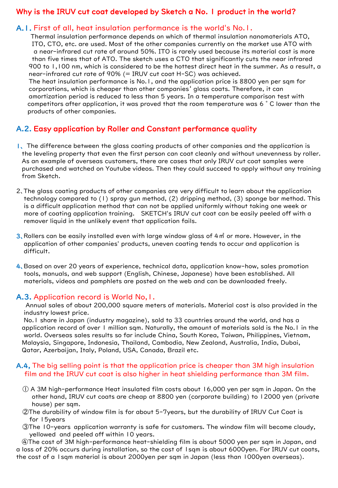## Why is the IRUV cut coat developed by Sketch a No. 1 product in the world?

## A.1. First of all, heat insulation performance is the world's No.1.

Thermal insulation performance depends on which of thermal insulation nanomaterials ATO, ITO, CTO, etc. are used. Most of the other companies currently on the market use ATO with a near-infrared cut rate of around 50%. ITO is rarely used because its material cost is more than five times that of ATO. The sketch uses a CTO that significantly cuts the near infrared 900 to 1,100 nm, which is considered to be the hottest direct heat in the summer. As a result, a near-infrared cut rate of 90% (= IRUV cut coat H-SC) was achieved.

The heat insulation performance is No.1, and the application price is 8800 yen per sqm for corporations, which is cheaper than other companies' glass coats. Therefore, it can amortization period is reduced to less than 5 years. In a temperature comparison test with competitors after application, it was proved that the room temperature was 6 ° C lower than the products of other companies.

## A.2. Easy application by Roller and Constant performance quality

- 1、 The difference between the glass coating products of other companies and the application is the leveling property that even the first person can coat cleanly and without unevenness by roller. As an example of overseas customers, there are cases that only IRUV cut coat samples were purchased and watched on Youtube videos. Then they could succeed to apply without any training from Sketch.
- 2、The glass coating products of other companies are very difficult to learn about the application technology compared to (1) spray gun method, (2) dripping method, (3) sponge bar method. This is a difficult application method that can not be applied uniformly without taking one week or more of coating application training. SKETCH's IRUV cut coat can be easily peeled off with a remover liquid in the unlikely event that application fails.
- 3, Rollers can be easily installed even with large window glass of  $4 \text{ m}^2$  or more. However, in the application of other companies' products, uneven coating tends to occur and application is difficult.
- 4、Based on over 20 years of experience, technical data, application know-how, sales promotion tools, manuals, and web support (English, Chinese, Japanese) have been established. All materials, videos and pamphlets are posted on the web and can be downloaded freely.

## A.3. Application record is World No,1.

Annual sales of about 200,000 square meters of materials. Material cost is also provided in the industry lowest price.

No.1 share in Japan (industry magazine), sold to 33 countries around the world, and has a application record of over 1 million sqm. Naturally, the amount of materials sold is the No.1 in the world. Overseas sales results so far include China, South Korea, Taiwan, Philippines, Vietnam, Malaysia, Singapore, Indonesia, Thailand, Cambodia, New Zealand, Australia, India, Dubai, Qatar, Azerbaijan, Italy, Poland, USA, Canada, Brazil etc.

## A.4, The big selling point is that the application price is cheaper than 3M high insulation film and the IRUV cut coat is also higher in heat shielding performance than 3M film.

- ① A 3M high-performance Heat insulated film costs about 16,000 yen per sqm in Japan. On the other hand, IRUV cut coats are cheap at 8800 yen (corporate building) to 12000 yen (private house) per sqm.
- ②The durability of window film is for about 5-7years, but the durability of IRUV Cut Coat is for 15years
- ③The 10-years application warranty is safe for customers. The window film will become cloudy, yellowed and peeled off within 10 years.

④The cost of 3M high-performance heat-shielding film is about 5000 yen per sqm in Japan, and a loss of 20% occurs during installation, so the cost of 1sqm is about 6000yen. For IRUV cut coats, the cost of a 1sqm material is about 2000yen per sqm in Japan (less than 1000yen overseas).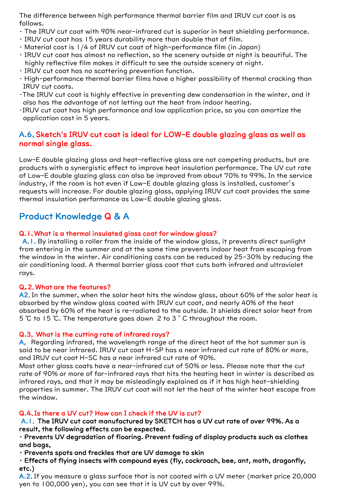The difference between high performance thermal barrier film and IRUV cut coat is as follows.

- ・ The IRUV cut coat with 90% near-infrared cut is superior in heat shielding performance.
- ・ IRUV cut coat has 15 years durability more than double that of film.
- ・ Material cost is 1/4 of IRUV cut coat of high-performance film (in Japan)
- ・ IRUV cut coat has almost no reflection, so the scenery outside at night is beautiful. The highly reflective film makes it difficult to see the outside scenery at night.
- ・ IRUV cut coat has no scattering prevention function.
- ・ High-performance thermal barrier films have a higher possibility of thermal cracking than IRUV cut coats.
- ・The IRUV cut coat is highly effective in preventing dew condensation in the winter, and it also has the advantage of not letting out the heat from indoor heating.
- ・IRUV cut coat has high performance and low application price, so you can amortize the application cost in 5 years.

## A.6、Sketch's IRUV cut coat is ideal for LOW-E double glazing glass as well as normal single glass.

Low-E double glazing glass and heat-reflective glass are not competing products, but are products with a synergistic effect to improve heat insulation performance. The UV cut rate of Low-E double glazing glass can also be improved from about 70% to 99%. In the service industry, if the room is hot even if Low-E double glazing glass is installed, customer's requests will increase. For double glazing glass, applying IRUV cut coat provides the same thermal insulation performance as Low-E double glazing glass.

## Product Knowledge Q & A

## Q.1、What is a thermal insulated glass coat for window glass?

A.1. By installing a roller from the inside of the window glass, it prevents direct sunlight from entering in the summer and at the same time prevents indoor heat from escaping from the window in the winter. Air conditioning costs can be reduced by 25-30% by reducing the air conditioning load. A thermal barrier glass coat that cuts both infrared and ultraviolet rays.

## Q。2.What are the features?

A2. In the summer, when the solar heat hits the window glass, about 60% of the solar heat is absorbed by the window glass coated with IRUV cut coat, and nearly 40% of the heat absorbed by 60% of the heat is re-radiated to the outside. It shields direct solar heat from 5 ℃ to 15 ℃. The temperature goes down 2 to 3 ° C throughout the room.

## Q.3, What is the cutting rate of infrared rays?

A, Regarding infrared, the wavelength range of the direct heat of the hot summer sun is said to be near infrared. IRUV cut coat H-SP has a near infrared cut rate of 80% or more, and IRUV cut coat H-SC has a near infrared cut rate of 90%.

Most other glass coats have a near-infrared cut of 50% or less. Please note that the cut rate of 90% or more of far-infrared rays that hits the heating heat in winter is described as infrared rays, and that it may be misleadingly explained as if it has high heat-shielding properties in summer. The IRUV cut coat will not let the heat of the winter heat escape from the window.

## Q.4、Is there a UV cut? How can I check if the UV is cut?

A.1. The IRUV cut coat manufactured by SKETCH has a UV cut rate of over 99%. As a result, the following effects can be expected.

## ・ Prevents UV degradation of flooring. Prevent fading of display products such as clothes and bags,

・ Prevents spots and freckles that are UV damage to skin

・ Effects of flying insects with compound eyes (fly, cockroach, bee, ant, moth, dragonfly, etc.)

A.2. If you measure a glass surface that is not coated with a UV meter (market price 20,000 yen to 100,000 yen), you can see that it is UV cut by over 99%.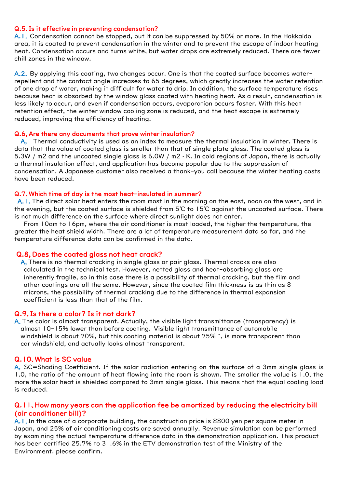#### Q.5.Is it effective in preventing condensation?

A.1. Condensation cannot be stopped, but it can be suppressed by 50% or more. In the Hokkaido area, it is coated to prevent condensation in the winter and to prevent the escape of indoor heating heat. Condensation occurs and turns white, but water drops are extremely reduced. There are fewer chill zones in the window.

A.2. By applying this coating, two changes occur. One is that the coated surface becomes waterrepellent and the contact angle increases to 65 degrees, which greatly increases the water retention of one drop of water, making it difficult for water to drip. In addition, the surface temperature rises because heat is absorbed by the window glass coated with heating heat. As a result, condensation is less likely to occur, and even if condensation occurs, evaporation occurs faster. With this heat retention effect, the winter window cooling zone is reduced, and the heat escape is extremely reduced, improving the efficiency of heating.

#### Q.6,Are there any documents that prove winter insulation?

A, Thermal conductivity is used as an index to measure the thermal insulation in winter. There is data that the value of coated glass is smaller than that of single plate glass. The coated glass is 5.3W / m2 and the uncoated single glass is 6.0W / m2 · K. In cold regions of Japan, there is actually a thermal insulation effect, and application has become popular due to the suppression of condensation. A Japanese customer also received a thank-you call because the winter heating costs have been reduced.

#### Q.7、Which time of day is the most heat-insulated in summer?

A.1. The direct solar heat enters the room most in the morning on the east, noon on the west, and in the evening, but the coated surface is shielded from 5℃ to 15℃ against the uncoated surface. There is not much difference on the surface where direct sunlight does not enter.

From 10am to 16pm, where the air conditioner is most loaded, the higher the temperature, the greater the heat shield width. There are a lot of temperature measurement data so far, and the temperature difference data can be confirmed in the data.

#### Q.8, Does the coated glass not heat crack?

A,There is no thermal cracking in single glass or pair glass. Thermal cracks are also calculated in the technical test. However, netted glass and heat-absorbing glass are inherently fragile, so in this case there is a possibility of thermal cracking, but the film and other coatings are all the same. However, since the coated film thickness is as thin as 8 microns, the possibility of thermal cracking due to the difference in thermal expansion coefficient is less than that of the film.

#### Q.9.Is there a color? Is it not dark?

A. The color is almost transparent. Actually, the visible light transmittance (transparency) is almost 10-15% lower than before coating. Visible light transmittance of automobile windshield is about 70%, but this coating material is about 75%  $\tilde{ }$ , is more transparent than car windshield, and actually looks almost transparent.

#### Q.10、What is SC value

A, SC=Shading Coefficient. If the solar radiation entering on the surface of a 3mm single glass is 1.0, the ratio of the amount of heat flowing into the room is shown. The smaller the value is 1.0, the more the solar heat is shielded compared to 3mm single glass. This means that the equal cooling load is reduced.

#### Q.11、How many years can the application fee be amortized by reducing the electricity bill (air conditioner bill)?

A.1.In the case of a corporate building, the construction price is 8800 yen per square meter in Japan, and 25% of air conditioning costs are saved annually. Revenue simulation can be performed by examining the actual temperature difference data in the demonstration application. This product has been certified 25.7% to 31.6% in the ETV demonstration test of the Ministry of the Environment. please confirm.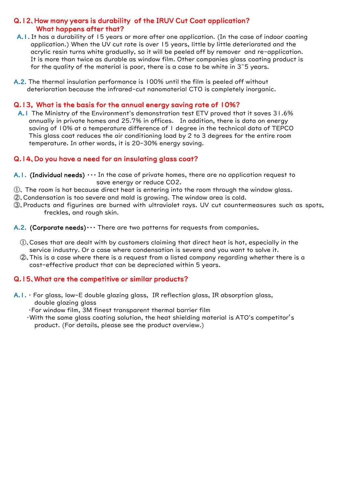## Q.12、How many years is durability of the IRUV Cut Coat application? What happens after that?

- A.1. It has a durability of 15 years or more after one application. (In the case of indoor coating application.) When the UV cut rate is over 15 years, little by little deteriorated and the acrylic resin turns white gradually, so it will be peeled off by remover and re-application. It is more than twice as durable as window film. Other companies glass coating product is for the quality of the material is poor, there is a case to be white in  $3<sup>2</sup>5$  years.
- A.2. The thermal insulation performance is 100% until the film is peeled off without deterioration because the infrared-cut nanomaterial CTO is completely inorganic.

## Q.13, What is the basis for the annual energy saving rate of 10%?

A.1 The Ministry of the Environment's demonstration test ETV proved that it saves 31.6% annually in private homes and 25.7% in offices. In addition, there is data on energy saving of 10% at a temperature difference of 1 degree in the technical data of TEPCO This glass coat reduces the air conditioning load by 2 to 3 degrees for the entire room temperature. In other words, it is 20-30% energy saving.

## Q.14、Do you have a need for an insulating glass coat?

- A.1. (Individual needs)  $\cdots$  In the case of private homes, there are no application request to save energy or reduce CO2.
- ①、 The room is hot because direct heat is entering into the room through the window glass.
- ②、Condensation is too severe and mold is growing. The window area is cold.
- ③、Products and figurines are burned with ultraviolet rays. UV cut countermeasures such as spots, freckles, and rough skin.

A.2. (Corporate needs) $\cdots$  There are two patterns for requests from companies.

- $\mathbb O$ . Cases that are dealt with by customers claiming that direct heat is hot, especially in the service industry. Or a case where condensation is severe and you want to solve it.
- ②、This is a case where there is a request from a listed company regarding whether there is a cost-effective product that can be depreciated within 5 years.

### Q.15、What are the competitive or similar products?

- $A.1.$  For glass, low-E double glazing glass, IR reflection glass, IR absorption glass, double glazing glass
	- ・For window film, 3M finest transparent thermal barrier film
	- ・With the same glass coating solution, the heat shielding material is ATO's competitor's product. (For details, please see the product overview.)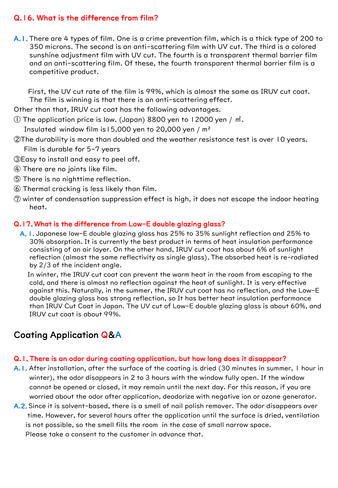## Q.16. What is the difference from film?

A.1.There are 4 types of film. One is a crime prevention film, which is a thick type of 200 to 350 microns. The second is an anti-scattering film with UV cut. The third is a colored sunshine adjustment film with UV cut. The fourth is a transparent thermal barrier film and an anti-scattering film. Of these, the fourth transparent thermal barrier film is a competitive product.

First, the UV cut rate of the film is 99%, which is almost the same as IRUV cut coat. The film is winning is that there is an anti-scattering effect.

Other than that, IRUV cut coat has the following advantages.

① The application price is low. (Japan) 8800 yen to 12000 yen / ㎡.

Insulated window film is  $15,000$  yen to 20,000 yen / m<sup>2</sup>

②The durability is more than doubled and the weather resistance test is over 10 years.

Film is durable for 5-7 years

- ③Easy to install and easy to peel off.
- ④ There are no joints like film.
- ⑤ There is no nighttime reflection.
- ⑥ Thermal cracking is less likely than film.
- ⑦ winter of condensation suppression effect is high, it does not escape the indoor heating heat.

## Q.17.What is the difference from Low-E double glazing glass?

A.1. Japanese low-E double glazing glass has 25% to 35% sunlight reflection and 25% to 30% absorption. It is currently the best product in terms of heat insulation performance consisting of an air layer. On the other hand, IRUV cut coat has about 6% of sunlight reflection (almost the same reflectivity as single glass)、The absorbed heat is re-radiated by 2/3 of the incident angle.

In winter, the IRUV cut coat can prevent the warm heat in the room from escaping to the cold, and there is almost no reflection against the heat of sunlight. It is very effective against this. Naturally, in the summer, the IRUV cut coat has no reflection, and the Low-E double glazing glass has strong reflection, so It has better heat insulation performance than IRUV Cut Coat in Japan. The UV cut of Low-E double glazing glass is about 60%, and IRUV cut coat is about 99%.

## Coating Application Q&A

## Q.1、There is an odor during coating application, but how long does it disappear?

- A.1. After installation, after the surface of the coating is dried (30 minutes in summer, 1 hour in winter), the odor disappears in 2 to 3 hours with the window fully open. If the window cannot be opened or closed, it may remain until the next day. For this reason, if you are worried about the odor after application, deodorize with negative ion or ozone generator.
- A.2. Since it is solvent-based, there is a smell of nail polish remover. The odor disappears over time. However, for several hours after the application until the surface is dried, ventilation is not possible, so the smell fills the room in the case of small narrow space. Please take a consent to the customer in advance that.